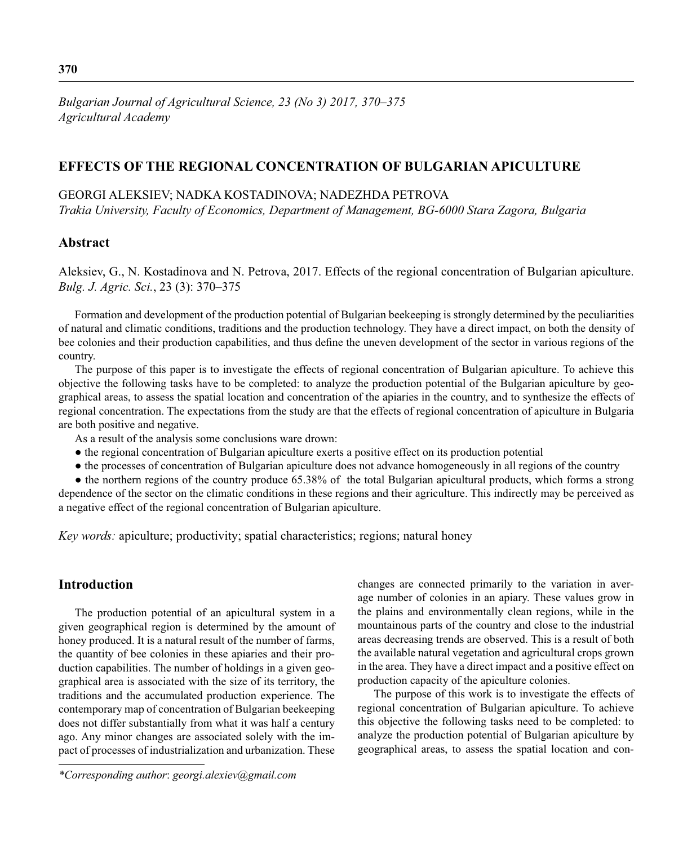*Bulgarian Journal of Agricultural Science, 23 (No 3) 2017, 370–375 Agricultural Academy*

## **EFFECTS OF THE REGIONAL CONCENTRATION OF BULGARIAN APICULTURE**

#### GEORGI ALEKSIEV; NADKA KOSTADINOVA; NADEZHDA PETROVA

*Trakia University, Faculty of Economics, Department of Management, BG-6000 Stara Zagora, Bulgaria*

### **Abstract**

Aleksiev, G., N. Kostadinova and N. Petrova, 2017. Effects of the regional concentration of Bulgarian apiculture. *Bulg. J. Agric. Sci.*, 23 (3): 370–375

Formation and development of the production potential of Bulgarian beekeeping is strongly determined by the peculiarities of natural and climatic conditions, traditions and the production technology. They have a direct impact, on both the density of bee colonies and their production capabilities, and thus define the uneven development of the sector in various regions of the country.

The purpose of this paper is to investigate the effects of regional concentration of Bulgarian apiculture. To achieve this objective the following tasks have to be completed: to analyze the production potential of the Bulgarian apiculture by geographical areas, to assess the spatial location and concentration of the apiaries in the country, and to synthesize the effects of regional concentration. The expectations from the study are that the effects of regional concentration of apiculture in Bulgaria are both positive and negative.

As a result of the analysis some conclusions ware drown:

- the regional concentration of Bulgarian apiculture exerts a positive effect on its production potential
- the processes of concentration of Bulgarian apiculture does not advance homogeneously in all regions of the country

• the northern regions of the country produce 65.38% of the total Bulgarian apicultural products, which forms a strong dependence of the sector on the climatic conditions in these regions and their agriculture. This indirectly may be perceived as a negative effect of the regional concentration of Bulgarian apiculture.

*Key words:* apiculture; productivity; spatial characteristics; regions; natural honey

## **Introduction**

The production potential of an apicultural system in a given geographical region is determined by the amount of honey produced. It is a natural result of the number of farms, the quantity of bee colonies in these apiaries and their production capabilities. The number of holdings in a given geographical area is associated with the size of its territory, the traditions and the accumulated production experience. The contemporary map of concentration of Bulgarian beekeeping does not differ substantially from what it was half a century ago. Any minor changes are associated solely with the impact of processes of industrialization and urbanization. These

*\*Corresponding author*: *georgi.alexiev@gmail.com*

changes are connected primarily to the variation in average number of colonies in an apiary. These values grow in the plains and environmentally clean regions, while in the mountainous parts of the country and close to the industrial areas decreasing trends are observed. This is a result of both the available natural vegetation and agricultural crops grown in the area. They have a direct impact and a positive effect on production capacity of the apiculture colonies.

The purpose of this work is to investigate the effects of regional concentration of Bulgarian apiculture. To achieve this objective the following tasks need to be completed: to analyze the production potential of Bulgarian apiculture by geographical areas, to assess the spatial location and con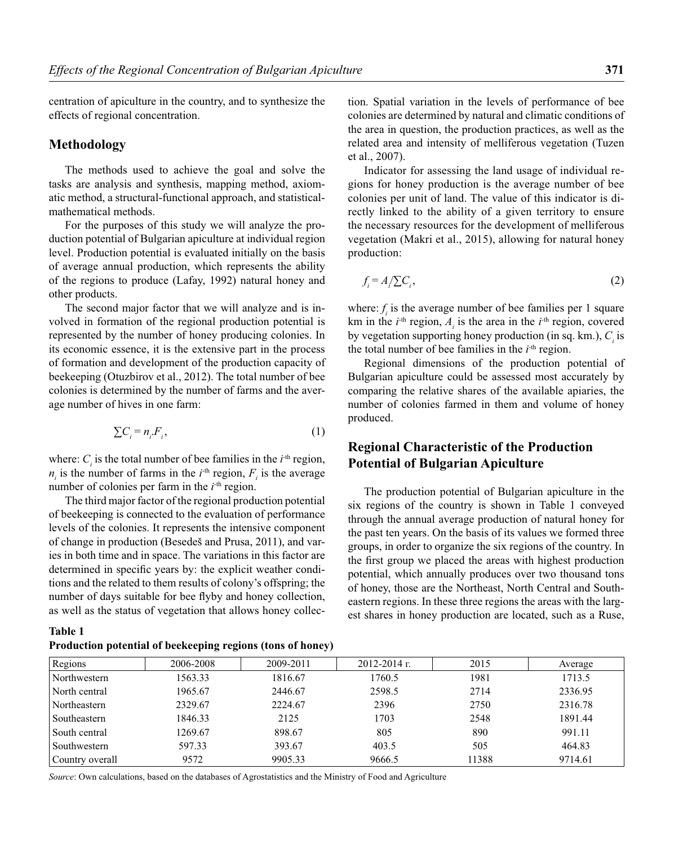centration of apiculture in the country, and to synthesize the effects of regional concentration.

### **Methodology**

The methods used to achieve the goal and solve the tasks are analysis and synthesis, mapping method, axiomatic method, a structural-functional approach, and statisticalmathematical methods.

For the purposes of this study we will analyze the production potential of Bulgarian apiculture at individual region level. Production potential is evaluated initially on the basis of average annual production, which represents the ability of the regions to produce (Lafay, 1992) natural honey and other products.

The second major factor that we will analyze and is involved in formation of the regional production potential is represented by the number of honey producing colonies. In its economic essence, it is the extensive part in the process of formation and development of the production capacity of beekeeping (Otuzbirov et al., 2012). The total number of bee colonies is determined by the number of farms and the average number of hives in one farm:

$$
\sum C_i = n_i F_i,\tag{1}
$$

where:  $C_i$  is the total number of bee families in the  $i$ <sup>th</sup> region,  $n_i$  is the number of farms in the  $i$ <sup>th</sup> region,  $F_i$  is the average number of colonies per farm in the  $i<sup>th</sup>$  region.

The third major factor of the regional production potential of beekeeping is connected to the evaluation of performance levels of the colonies. It represents the intensive component of change in production (Besedeš and Prusa, 2011), and varies in both time and in space. The variations in this factor are determined in specific years by: the explicit weather conditions and the related to them results of colony's offspring; the number of days suitable for bee flyby and honey collection, as well as the status of vegetation that allows honey collec-

**Table 1 Production potential of beekeeping regions (tons of honey)**

tion. Spatial variation in the levels of performance of bee colonies are determined by natural and climatic conditions of the area in question, the production practices, as well as the related area and intensity of melliferous vegetation (Tuzen et al., 2007).

Indicator for assessing the land usage of individual regions for honey production is the average number of bee colonies per unit of land. The value of this indicator is directly linked to the ability of a given territory to ensure the necessary resources for the development of melliferous vegetation (Makri et al., 2015), allowing for natural honey production:

$$
f_i = A / \sum C_i, \tag{2}
$$

where:  $f_i$  is the average number of bee families per 1 square km in the  $i$ <sup>th</sup> region,  $A_i$  is the area in the  $i$ <sup>th</sup> region, covered by vegetation supporting honey production (in sq. km.),  $C_i$  is the total number of bee families in the  $i<sup>th</sup>$  region.

Regional dimensions of the production potential of Bulgarian apiculture could be assessed most accurately by comparing the relative shares of the available apiaries, the number of colonies farmed in them and volume of honey produced.

# **Regional Characteristic of the Production Potential of Bulgarian Apiculture**

The production potential of Bulgarian apiculture in the six regions of the country is shown in Table 1 conveyed through the annual average production of natural honey for the past ten years. On the basis of its values we formed three groups, in order to organize the six regions of the country. In the first group we placed the areas with highest production potential, which annually produces over two thousand tons of honey, those are the Northeast, North Central and Southeastern regions. In these three regions the areas with the largest shares in honey production are located, such as a Ruse,

| Regions         | 2006-2008 | 2009-2011 | $2012 - 2014$ r. | 2015  | Average |
|-----------------|-----------|-----------|------------------|-------|---------|
| Northwestern    | 1563.33   | 1816.67   | 1760.5           | 1981  | 1713.5  |
| North central   | 1965.67   | 2446.67   | 2598.5           | 2714  | 2336.95 |
| Northeastern    | 2329.67   | 2224.67   | 2396             | 2750  | 2316.78 |
| Southeastern    | 1846.33   | 2125      | 1703             | 2548  | 1891.44 |
| South central   | 1269.67   | 898.67    | 805              | 890   | 991.11  |
| Southwestern    | 597.33    | 393.67    | 403.5            | 505   | 464.83  |
| Country overall | 9572      | 9905.33   | 9666.5           | 11388 | 9714.61 |

*Source*: Own calculations, based on the databases of Agrostatistics and the Ministry of Food and Agriculture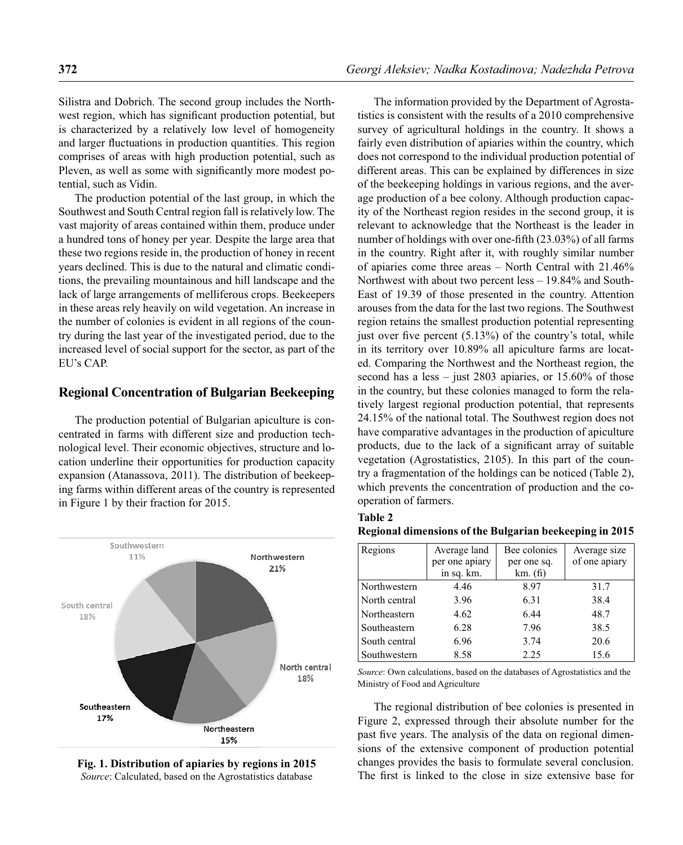Silistra and Dobrich. The second group includes the Northwest region, which has significant production potential, but is characterized by a relatively low level of homogeneity and larger fluctuations in production quantities. This region comprises of areas with high production potential, such as Pleven, as well as some with significantly more modest potential, such as Vidin.

The production potential of the last group, in which the Southwest and South Central region fall is relatively low. The vast majority of areas contained within them, produce under a hundred tons of honey per year. Despite the large area that these two regions reside in, the production of honey in recent years declined. This is due to the natural and climatic conditions, the prevailing mountainous and hill landscape and the lack of large arrangements of melliferous crops. Beekeepers in these areas rely heavily on wild vegetation. An increase in the number of colonies is evident in all regions of the country during the last year of the investigated period, due to the increased level of social support for the sector, as part of the EU's CAP.

#### **Regional Concentration оf Bulgarian Beekeeping**

The production potential of Bulgarian apiculture is concentrated in farms with different size and production technological level. Their economic objectives, structure and location underline their opportunities for production capacity expansion (Atanassova, 2011). The distribution of beekeeping farms within different areas of the country is represented in Figure 1 by their fraction for 2015.



**Fig. 1. Distribution of apiaries by regions in 2015** *Source*: Calculated, based on the Agrostatistics database

The information provided by the Department of Agrostatistics is consistent with the results of a 2010 comprehensive survey of agricultural holdings in the country. It shows a fairly even distribution of apiaries within the country, which does not correspond to the individual production potential of different areas. This can be explained by differences in size of the beekeeping holdings in various regions, and the average production of a bee colony. Although production capacity of the Northeast region resides in the second group, it is relevant to acknowledge that the Northeast is the leader in number of holdings with over one-fifth (23.03%) of all farms in the country. Right after it, with roughly similar number of apiaries come three areas – North Central with 21.46% Northwest with about two percent less – 19.84% and South-East of 19.39 of those presented in the country. Attention arouses from the data for the last two regions. The Southwest region retains the smallest production potential representing just over five percent  $(5.13\%)$  of the country's total, while in its territory over 10.89% all apiculture farms are located. Comparing the Northwest and the Northeast region, the second has a less – just  $2803$  apiaries, or  $15.60\%$  of those in the country, but these colonies managed to form the relatively largest regional production potential, that represents 24.15% of the national total. The Southwest region does not have comparative advantages in the production of apiculture products, due to the lack of a significant array of suitable vegetation (Agrostatistics, 2105). In this part of the country a fragmentation of the holdings can be noticed (Table 2), which prevents the concentration of production and the cooperation of farmers.

| Table 2                                                 |  |  |
|---------------------------------------------------------|--|--|
| Regional dimensions of the Bulgarian beekeeping in 2015 |  |  |

| Regions       | Average land   | Bee colonies | Average size  |
|---------------|----------------|--------------|---------------|
|               | per one apiary | per one sq.  | of one apiary |
|               | in sq. km.     | km. (fi)     |               |
| Northwestern  | 4.46           | 8.97         | 31.7          |
| North central | 3.96           | 6.31         | 38.4          |
| Northeastern  | 4.62           | 6.44         | 48.7          |
| Southeastern  | 6.28           | 7.96         | 38.5          |
| South central | 6.96           | 3.74         | 20.6          |
| Southwestern  | 8.58           | 2.25         | 15.6          |

*Source*: Own calculations, based on the databases of Agrostatistics and the Ministry of Food and Agriculture

The regional distribution of bee colonies is presented in Figure 2, expressed through their absolute number for the past five years. The analysis of the data on regional dimensions of the extensive component of production potential changes provides the basis to formulate several conclusion. The first is linked to the close in size extensive base for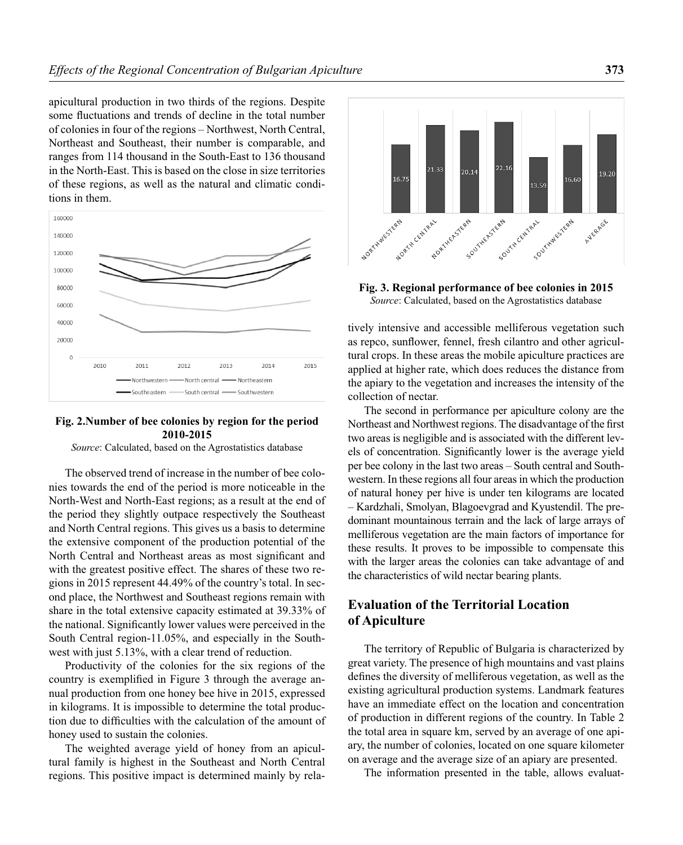apicultural production in two thirds of the regions. Despite some fluctuations and trends of decline in the total number of colonies in four of the regions – Northwest, North Central, Northeast and Southeast, their number is comparable, and ranges from 114 thousand in the South-East to 136 thousand in the North-East. This is based on the close in size territories of these regions, as well as the natural and climatic conditions in them.



#### **Fig. 2.Number of bee colonies by region for the period 2010-2015**

*Source*: Calculated, based on the Agrostatistics database

The observed trend of increase in the number of bee colonies towards the end of the period is more noticeable in the North-West and North-East regions; as a result at the end of the period they slightly outpace respectively the Southeast and North Central regions. This gives us a basis to determine the extensive component of the production potential of the North Central and Northeast areas as most significant and with the greatest positive effect. The shares of these two regions in 2015 represent 44.49% of the country's total. In second place, the Northwest and Southeast regions remain with share in the total extensive capacity estimated at 39.33% of the national. Significantly lower values were perceived in the South Central region-11.05%, and especially in the Southwest with just 5.13%, with a clear trend of reduction.

Productivity of the colonies for the six regions of the country is exemplified in Figure 3 through the average annual production from one honey bee hive in 2015, expressed in kilograms. It is impossible to determine the total production due to difficulties with the calculation of the amount of honey used to sustain the colonies.

The weighted average yield of honey from an apicultural family is highest in the Southeast and North Central regions. This positive impact is determined mainly by rela-



**Fig. 3. Regional performance of bee colonies in 2015** *Source*: Calculated, based on the Agrostatistics database

tively intensive and accessible melliferous vegetation such as repco, sunflower, fennel, fresh cilantro and other agricultural crops. In these areas the mobile apiculture practices are applied at higher rate, which does reduces the distance from the apiary to the vegetation and increases the intensity of the collection of nectar.

The second in performance per apiculture colony are the Northeast and Northwest regions. The disadvantage of the first two areas is negligible and is associated with the different levels of concentration. Significantly lower is the average yield per bee colony in the last two areas – South central and Southwestern. In these regions all four areas in which the production of natural honey per hive is under ten kilograms are located – Kardzhali, Smolyan, Blagoevgrad and Kyustendil. The predominant mountainous terrain and the lack of large arrays of melliferous vegetation are the main factors of importance for these results. It proves to be impossible to compensate this with the larger areas the colonies can take advantage of and the characteristics of wild nectar bearing plants.

# **Evaluation of the Territorial Location of Apiculture**

The territory of Republic of Bulgaria is characterized by great variety. The presence of high mountains and vast plains defines the diversity of melliferous vegetation, as well as the existing agricultural production systems. Landmark features have an immediate effect on the location and concentration of production in different regions of the country. In Table 2 the total area in square km, served by an average of one apiary, the number of colonies, located on one square kilometer on average and the average size of an apiary are presented.

The information presented in the table, allows evaluat-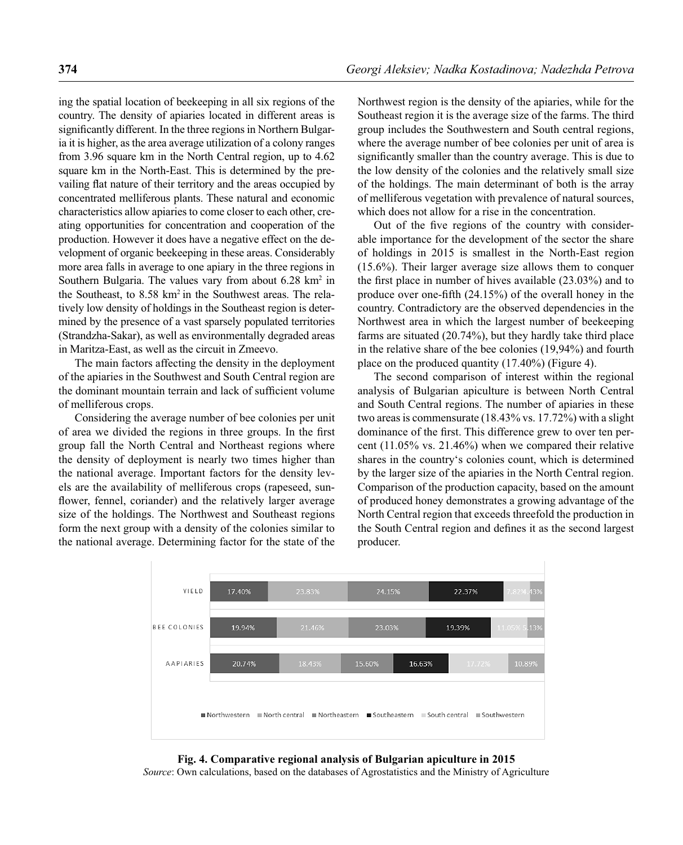ing the spatial location of beekeeping in all six regions of the country. The density of apiaries located in different areas is significantly different. In the three regions in Northern Bulgaria it is higher, as the area average utilization of a colony ranges from 3.96 square km in the North Central region, up to 4.62 square km in the North-East. This is determined by the prevailing flat nature of their territory and the areas occupied by concentrated melliferous plants. These natural and economic characteristics allow apiaries to come closer to each other, creating opportunities for concentration and cooperation of the production. However it does have a negative effect on the development of organic beekeeping in these areas. Considerably more area falls in average to one apiary in the three regions in Southern Bulgaria. The values vary from about  $6.28 \text{ km}^2$  in the Southeast, to 8.58 km2 in the Southwest areas. The relatively low density of holdings in the Southeast region is determined by the presence of a vast sparsely populated territories (Strandzha-Sakar), as well as environmentally degraded areas in Maritza-East, as well as the circuit in Zmeevo.

The main factors affecting the density in the deployment of the apiaries in the Southwest and South Central region are the dominant mountain terrain and lack of sufficient volume of melliferous crops.

Considering the average number of bee colonies per unit of area we divided the regions in three groups. In the first group fall the North Central and Northeast regions where the density of deployment is nearly two times higher than the national average. Important factors for the density levels are the availability of melliferous crops (rapeseed, sunflower, fennel, coriander) and the relatively larger average size of the holdings. The Northwest and Southeast regions form the next group with a density of the colonies similar to the national average. Determining factor for the state of the

Northwest region is the density of the apiaries, while for the Southeast region it is the average size of the farms. The third group includes the Southwestern and South central regions, where the average number of bee colonies per unit of area is significantly smaller than the country average. This is due to the low density of the colonies and the relatively small size of the holdings. The main determinant of both is the array of melliferous vegetation with prevalence of natural sources, which does not allow for a rise in the concentration.

Out of the five regions of the country with considerable importance for the development of the sector the share of holdings in 2015 is smallest in the North-East region (15.6%). Their larger average size allows them to conquer the first place in number of hives available  $(23.03\%)$  and to produce over one-fifth  $(24.15\%)$  of the overall honey in the country. Contradictory are the observed dependencies in the Northwest area in which the largest number of beekeeping farms are situated (20.74%), but they hardly take third place in the relative share of the bee colonies (19,94%) and fourth place on the produced quantity (17.40%) (Figure 4).

The second comparison of interest within the regional analysis of Bulgarian apiculture is between North Central and South Central regions. The number of apiaries in these two areas is commensurate (18.43% vs. 17.72%) with a slight dominance of the first. This difference grew to over ten percent (11.05% vs. 21.46%) when we compared their relative shares in the country's colonies count, which is determined by the larger size of the apiaries in the North Central region. Comparison of the production capacity, based on the amount of produced honey demonstrates a growing advantage of the North Central region that exceeds threefold the production in the South Central region and defines it as the second largest producer.



**Fig. 4. Comparative regional analysis of Bulgarian apiculture in 2015** *Source*: Own calculations, based on the databases of Agrostatistics and the Ministry of Agriculture